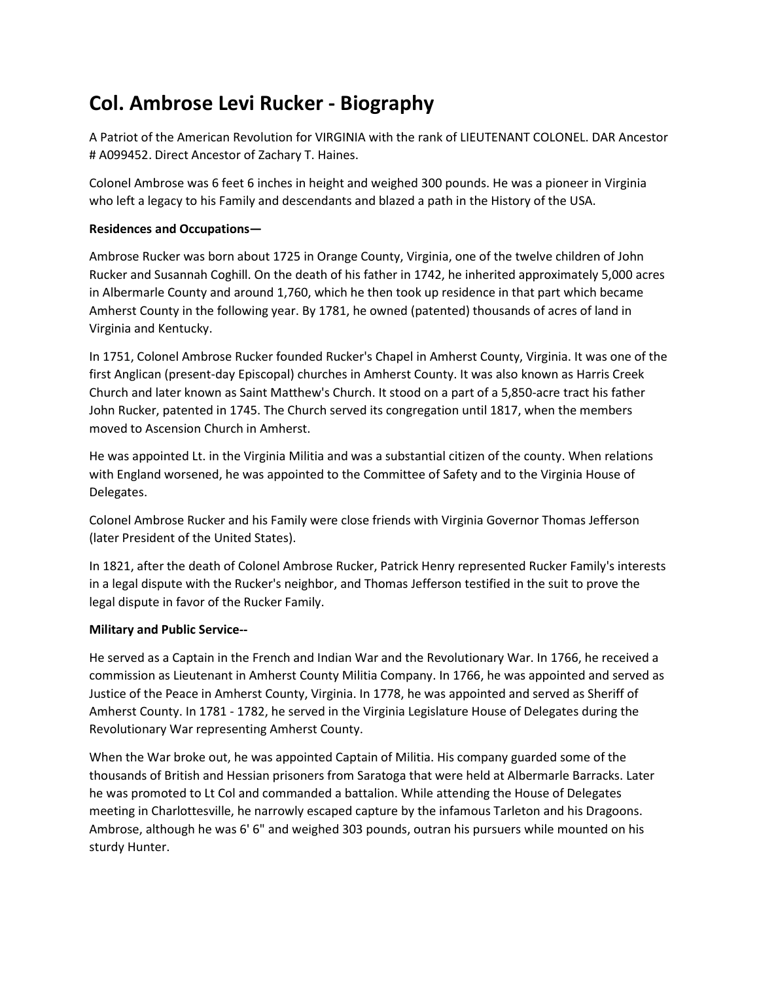## Col. Ambrose Levi Rucker - Biography

A Patriot of the American Revolution for VIRGINIA with the rank of LIEUTENANT COLONEL. DAR Ancestor # A099452. Direct Ancestor of Zachary T. Haines.

Colonel Ambrose was 6 feet 6 inches in height and weighed 300 pounds. He was a pioneer in Virginia who left a legacy to his Family and descendants and blazed a path in the History of the USA.

## Residences and Occupations—

Ambrose Rucker was born about 1725 in Orange County, Virginia, one of the twelve children of John Rucker and Susannah Coghill. On the death of his father in 1742, he inherited approximately 5,000 acres in Albermarle County and around 1,760, which he then took up residence in that part which became Amherst County in the following year. By 1781, he owned (patented) thousands of acres of land in Virginia and Kentucky.

In 1751, Colonel Ambrose Rucker founded Rucker's Chapel in Amherst County, Virginia. It was one of the first Anglican (present-day Episcopal) churches in Amherst County. It was also known as Harris Creek Church and later known as Saint Matthew's Church. It stood on a part of a 5,850-acre tract his father John Rucker, patented in 1745. The Church served its congregation until 1817, when the members moved to Ascension Church in Amherst.

He was appointed Lt. in the Virginia Militia and was a substantial citizen of the county. When relations with England worsened, he was appointed to the Committee of Safety and to the Virginia House of Delegates.

Colonel Ambrose Rucker and his Family were close friends with Virginia Governor Thomas Jefferson (later President of the United States).

In 1821, after the death of Colonel Ambrose Rucker, Patrick Henry represented Rucker Family's interests in a legal dispute with the Rucker's neighbor, and Thomas Jefferson testified in the suit to prove the legal dispute in favor of the Rucker Family.

## Military and Public Service--

He served as a Captain in the French and Indian War and the Revolutionary War. In 1766, he received a commission as Lieutenant in Amherst County Militia Company. In 1766, he was appointed and served as Justice of the Peace in Amherst County, Virginia. In 1778, he was appointed and served as Sheriff of Amherst County. In 1781 - 1782, he served in the Virginia Legislature House of Delegates during the Revolutionary War representing Amherst County.

When the War broke out, he was appointed Captain of Militia. His company guarded some of the thousands of British and Hessian prisoners from Saratoga that were held at Albermarle Barracks. Later he was promoted to Lt Col and commanded a battalion. While attending the House of Delegates meeting in Charlottesville, he narrowly escaped capture by the infamous Tarleton and his Dragoons. Ambrose, although he was 6' 6" and weighed 303 pounds, outran his pursuers while mounted on his sturdy Hunter.